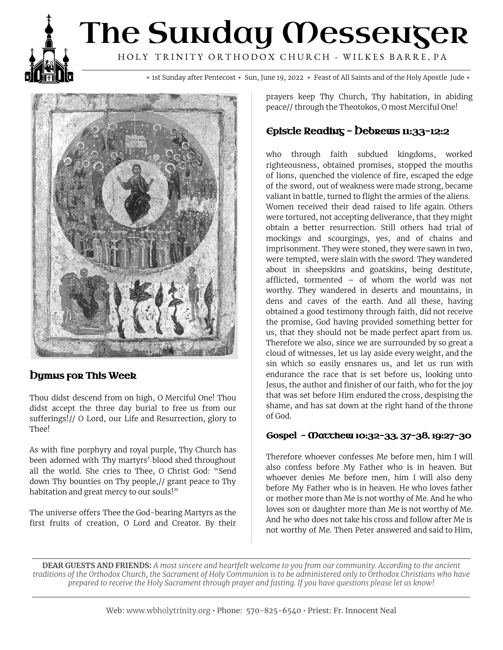## The Sunday Messenger HOLY TRINITY ORTHODOX CHURCH - WILKES BARRE, PA

+ 1st Sunday after Pentecost + Sun, June 19, 2022 + Feast of All Saints and of the Holy Apostle Jude +



#### **Dymus for This Week**

Thou didst descend from on high, O Merciful One! Thou didst accept the three day burial to free us from our sufferings!// O Lord, our Life and Resurrection, glory to Thee!

As with fine porphyry and royal purple, Thy Church has been adorned with Thy martyrs' blood shed throughout all the world. She cries to Thee, O Christ God: "Send down Thy bounties on Thy people,// grant peace to Thy habitation and great mercy to our souls!"

The universe offers Thee the God-bearing Martyrs as the first fruits of creation, O Lord and Creator. By their prayers keep Thy Church, Thy habitation, in abiding peace// through the Theotokos, O most Merciful One!

#### $E$ episcle Reading - Debrews 11:33-12:2

who through faith subdued kingdoms, worked righteousness, obtained promises, stopped the mouths of lions, quenched the violence of fire, escaped the edge of the sword, out of weakness were made strong, became valiant in battle, turned to flight the armies of the aliens. Women received their dead raised to life again. Others were tortured, not accepting deliverance, that they might obtain a better resurrection. Still others had trial of mockings and scourgings, yes, and of chains and imprisonment. They were stoned, they were sawn in two, were tempted, were slain with the sword. They wandered about in sheepskins and goatskins, being destitute, afflicted, tormented – of whom the world was not worthy. They wandered in deserts and mountains, in dens and caves of the earth. And all these, having obtained a good testimony through faith, did not receive the promise, God having provided something better for us, that they should not be made perfect apart from us. Therefore we also, since we are surrounded by so great a cloud of witnesses, let us lay aside every weight, and the sin which so easily ensnares us, and let us run with endurance the race that is set before us, looking unto Jesus, the author and finisher of our faith, who for the joy that was set before Him endured the cross, despising the shame, and has sat down at the right hand of the throne of God.

#### Gospel - Mαττhew 10:32-33, 37-38, 19:27-30

Therefore whoever confesses Me before men, him I will also confess before My Father who is in heaven. But whoever denies Me before men, him I will also deny before My Father who is in heaven. He who loves father or mother more than Me is not worthy of Me. And he who loves son or daughter more than Me is not worthy of Me. And he who does not take his cross and follow after Me is not worthy of Me. Then Peter answered and said to Him,

**DEAR GUESTS AND FRIENDS:** A most sincere and heartfelt welcome to you from our community. According to the ancient traditions of the Orthodox Church, the Sacrament of Holy Communion is to be administered only to Orthodox Christians who have prepared to receive the Holy Sacrament through prayer and fasting. If you have questions please let us know!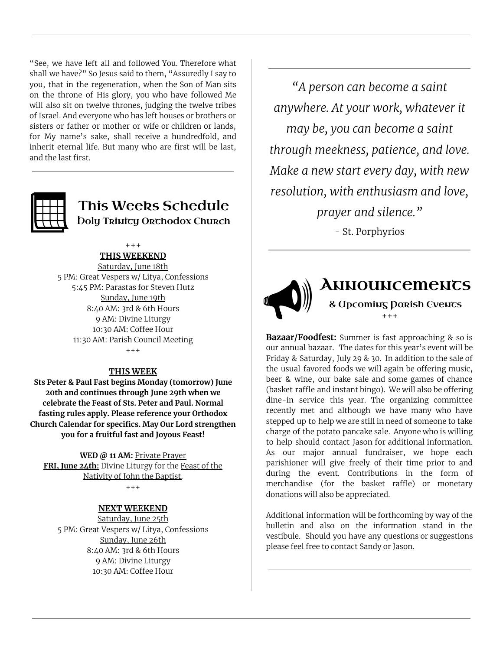"See, we have left all and followed You. Therefore what shall we have?" So Jesus said to them, "Assuredly I say to you, that in the regeneration, when the Son of Man sits on the throne of His glory, you who have followed Me will also sit on twelve thrones, judging the twelve tribes of Israel. And everyone who has left houses or brothers or sisters or father or mother or wife or children or lands, for My name's sake, shall receive a hundredfold, and inherit eternal life. But many who are first will be last, and the last first.



## This Weeks Schedule **Doly Trinity Orthodox Church**

+++

### **THIS WEEKEND**

Saturday, June 18th 5 PM: Great Vespers w/ Litya, Confessions 5:45 PM: Parastas for Steven Hutz Sunday, June 19th 8:40 AM: 3rd & 6th Hours 9 AM: Divine Liturgy 10:30 AM: Coffee Hour 11:30 AM: Parish Council Meeting  $+ + +$ 

#### **THIS WEEK**

**Sts Peter & Paul Fast begins Monday (tomorrow) June 20th and continues through June 29th when we celebrate the Feast of Sts. Peter and Paul. Normal fasting rules apply. Please reference your Orthodox Church Calendar for specifics. May Our Lord strengthen you for a fruitful fast and Joyous Feast!**

**WED @ 11 AM:** Private Prayer **FRI, June 24th:** Divine Liturgy for the Feast of the Nativity of John the Baptist.  $+ + +$ 

#### **NEXT WEEKEND**

Saturday, June 25th 5 PM: Great Vespers w/ Litya, Confessions Sunday, June 26th 8:40 AM: 3rd & 6th Hours 9 AM: Divine Liturgy 10:30 AM: Coffee Hour

*"A person can become a saint anywhere. At your work, whatever it may be, you can become a saint through meekness, patience, and love. Make a new start every day, with new resolution, with enthusiasm and love, prayer and silence."*

- St. Porphyrios



## **ANNOUNCEMENTS** & Upcoming Parish Events +++

**Bazaar/Foodfest:** Summer is fast approaching & so is our annual bazaar. The dates for this year's event will be Friday & Saturday, July 29 & 30. In addition to the sale of the usual favored foods we will again be offering music, beer & wine, our bake sale and some games of chance (basket raffle and instant bingo). We will also be offering dine-in service this year. The organizing committee recently met and although we have many who have stepped up to help we are still in need of someone to take charge of the potato pancake sale. Anyone who is willing to help should contact Jason for additional information. As our major annual fundraiser, we hope each parishioner will give freely of their time prior to and during the event. Contributions in the form of merchandise (for the basket raffle) or monetary donations will also be appreciated.

Additional information will be forthcoming by way of the bulletin and also on the information stand in the vestibule. Should you have any questions or suggestions please feel free to contact Sandy or Jason.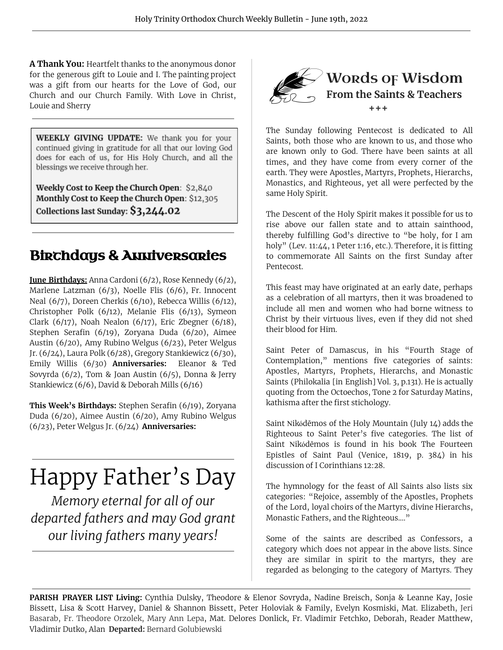**A Thank You:** Heartfelt thanks to the anonymous donor for the generous gift to Louie and I. The painting project was a gift from our hearts for the Love of God, our Church and our Church Family. With Love in Christ, Louie and Sherry

**WEEKLY GIVING UPDATE:** We thank you for your continued giving in gratitude for all that our loving God does for each of us, for His Holy Church, and all the blessings we receive through her.

Weekly Cost to Keep the Church Open: \$2,840 Monthly Cost to Keep the Church Open: \$12,305 Collections last Sunday: \$3,244.02

## **Birchdays & Anniversaries**

**June Birthdays:** Anna Cardoni (6/2), Rose Kennedy (6/2), Marlene Latzman (6/3), Noelle Flis (6/6), Fr. Innocent Neal (6/7), Doreen Cherkis (6/10), Rebecca Willis (6/12), Christopher Polk (6/12), Melanie Flis (6/13), Symeon Clark (6/17), Noah Nealon (6/17), Eric Zbegner (6/18), Stephen Serafin (6/19), Zoryana Duda (6/20), Aimee Austin (6/20), Amy Rubino Welgus (6/23), Peter Welgus Jr. (6/24), Laura Polk (6/28), Gregory Stankiewicz (6/30), Emily Willis (6/30) **Anniversaries:** Eleanor & Ted Sovyrda (6/2), Tom & Joan Austin (6/5), Donna & Jerry Stankiewicz (6/6), David & Deborah Mills (6/16)

**This Week's Birthdays:** Stephen Serafin (6/19), Zoryana Duda (6/20), Aimee Austin (6/20), Amy Rubino Welgus (6/23), Peter Welgus Jr. (6/24) **Anniversaries:**

# Happy Father's Day

*Memory eternal for all of our departed fathers and may God grant our living fathers many years!*



The Sunday following Pentecost is dedicated to All Saints, both those who are known to us, and those who are known only to God. There have been saints at all times, and they have come from every corner of the earth. They were Apostles, Martyrs, Prophets, Hierarchs, Monastics, and Righteous, yet all were perfected by the same Holy Spirit.

The Descent of the Holy Spirit makes it possible for us to rise above our fallen state and to attain sainthood, thereby fulfilling God's directive to "be holy, for I am holy" (Lev. 11:44, 1 Peter 1:16, etc.). Therefore, it is fitting to commemorate All Saints on the first Sunday after Pentecost.

This feast may have originated at an early date, perhaps as a celebration of all martyrs, then it was broadened to include all men and women who had borne witness to Christ by their virtuous lives, even if they did not shed their blood for Him.

Saint Peter of Damascus, in his "Fourth Stage of Contemplation," mentions five categories of saints: Apostles, Martyrs, Prophets, Hierarchs, and Monastic Saints (Philokalia [in English] Vol. 3, p.131). He is actually quoting from the Octoechos, Tone 2 for Saturday Matins, kathisma after the first stichology.

Saint Nikódēmos of the Holy Mountain (July 14) adds the Righteous to Saint Peter's five categories. The list of Saint Νikόdēmos is found in his book The Fourteen Epistles of Saint Paul (Venice, 1819, p. 384) in his discussion of I Corinthians 12:28.

The hymnology for the feast of All Saints also lists six categories: "Rejoice, assembly of the Apostles, Prophets of the Lord, loyal choirs of the Martyrs, divine Hierarchs, Monastic Fathers, and the Righteous...."

Some of the saints are described as Confessors, a category which does not appear in the above lists. Since they are similar in spirit to the martyrs, they are regarded as belonging to the category of Martyrs. They

**PARISH PRAYER LIST Living:** Cynthia Dulsky, Theodore & Elenor Sovryda, Nadine Breisch, Sonja & Leanne Kay, Josie Bissett, Lisa & Scott Harvey, Daniel & Shannon Bissett, Peter Holoviak & Family, Evelyn Kosmiski, Mat. Elizabeth, Jeri Basarab, Fr. Theodore Orzolek, Mary Ann Lepa, Mat. Delores Donlick, Fr. Vladimir Fetchko, Deborah, Reader Matthew, Vladimir Dutko, Alan **Departed:** Bernard Golubiewski